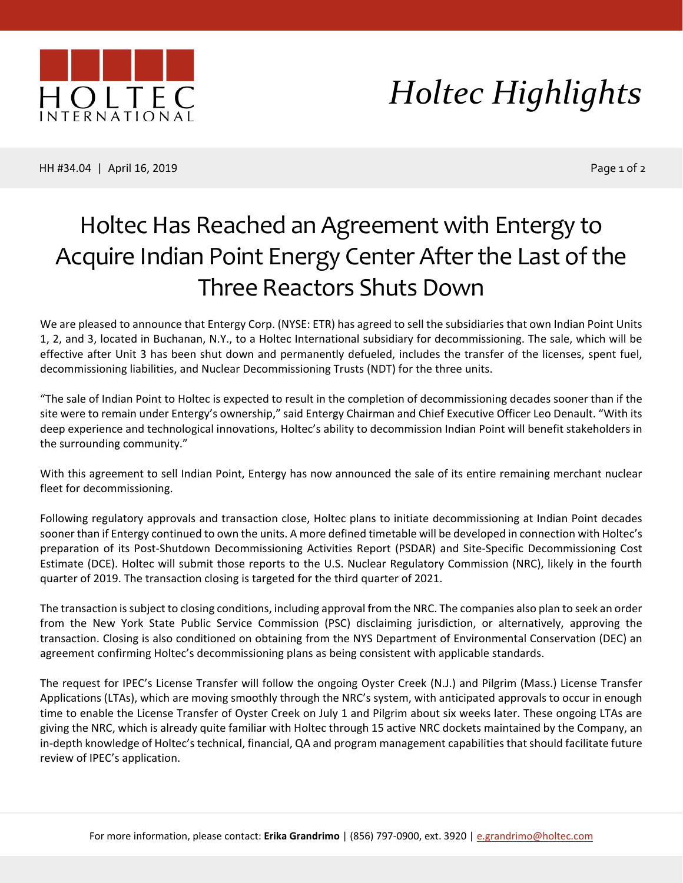

## *Holtec Highlights*

HH #34.04 | April 16, 2019 Page 1 of 2

## Holtec Has Reached an Agreement with Entergy to Acquire Indian Point Energy Center After the Last of the Three Reactors Shuts Down

We are pleased to announce that Entergy Corp. (NYSE: ETR) has agreed to sell the subsidiaries that own Indian Point Units 1, 2, and 3, located in Buchanan, N.Y., to a Holtec International subsidiary for decommissioning. The sale, which will be effective after Unit 3 has been shut down and permanently defueled, includes the transfer of the licenses, spent fuel, decommissioning liabilities, and Nuclear Decommissioning Trusts (NDT) for the three units.

"The sale of Indian Point to Holtec is expected to result in the completion of decommissioning decades sooner than if the site were to remain under Entergy's ownership," said Entergy Chairman and Chief Executive Officer Leo Denault. "With its deep experience and technological innovations, Holtec's ability to decommission Indian Point will benefit stakeholders in the surrounding community."

With this agreement to sell Indian Point, Entergy has now announced the sale of its entire remaining merchant nuclear fleet for decommissioning.

Following regulatory approvals and transaction close, Holtec plans to initiate decommissioning at Indian Point decades sooner than if Entergy continued to own the units. A more defined timetable will be developed in connection with Holtec's preparation of its Post-Shutdown Decommissioning Activities Report (PSDAR) and Site-Specific Decommissioning Cost Estimate (DCE). Holtec will submit those reports to the U.S. Nuclear Regulatory Commission (NRC), likely in the fourth quarter of 2019. The transaction closing is targeted for the third quarter of 2021.

The transaction is subject to closing conditions, including approval from the NRC. The companies also plan to seek an order from the New York State Public Service Commission (PSC) disclaiming jurisdiction, or alternatively, approving the transaction. Closing is also conditioned on obtaining from the NYS Department of Environmental Conservation (DEC) an agreement confirming Holtec's decommissioning plans as being consistent with applicable standards.

The request for IPEC's License Transfer will follow the ongoing Oyster Creek (N.J.) and Pilgrim (Mass.) License Transfer Applications (LTAs), which are moving smoothly through the NRC's system, with anticipated approvals to occur in enough time to enable the License Transfer of Oyster Creek on July 1 and Pilgrim about six weeks later. These ongoing LTAs are giving the NRC, which is already quite familiar with Holtec through 15 active NRC dockets maintained by the Company, an in-depth knowledge of Holtec's technical, financial, QA and program management capabilities that should facilitate future review of IPEC's application.